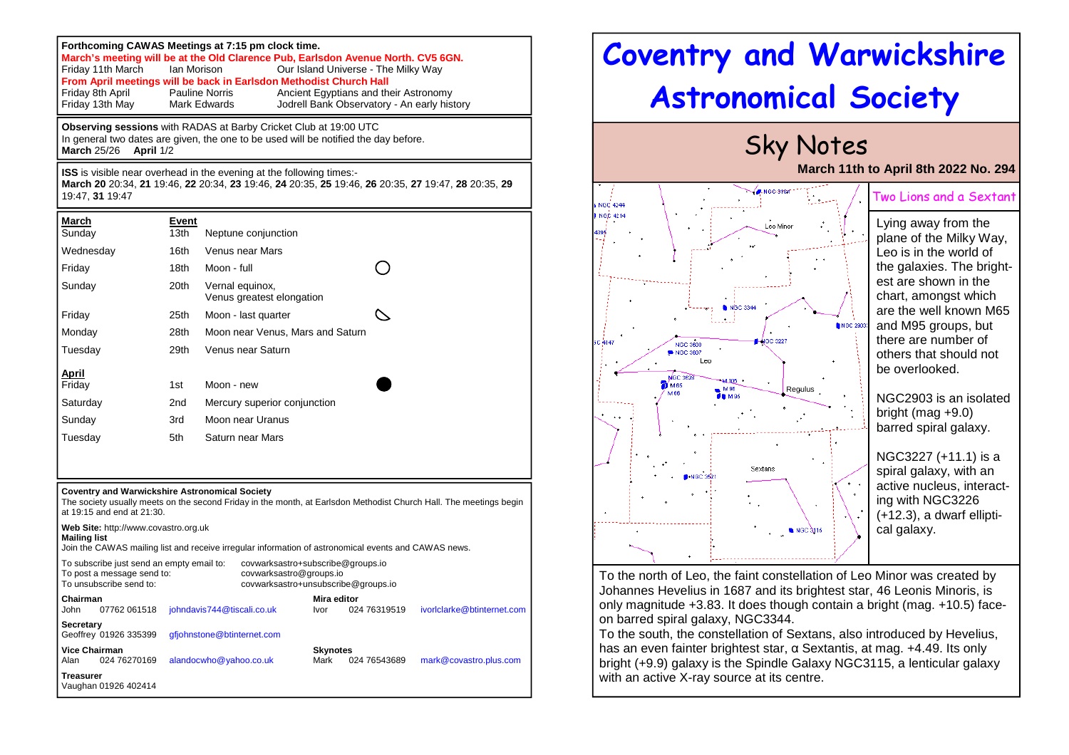| Forthcoming CAWAS Meetings at 7:15 pm clock time.<br>March's meeting will be at the Old Clarence Pub, Earlsdon Avenue North. CV5 6GN.<br>Our Island Universe - The Milky Way<br>Friday 11th March<br>Ian Morison<br>From April meetings will be back in Earlsdon Methodist Church Hall<br>Friday 8th April<br>Pauline Norris<br>Ancient Egyptians and their Astronomy<br>Friday 13th May<br>Mark Edwards<br>Jodrell Bank Observatory - An early history |                           |                                              |                                  |  |                            |              |  |                                                                                                                    |  |
|---------------------------------------------------------------------------------------------------------------------------------------------------------------------------------------------------------------------------------------------------------------------------------------------------------------------------------------------------------------------------------------------------------------------------------------------------------|---------------------------|----------------------------------------------|----------------------------------|--|----------------------------|--------------|--|--------------------------------------------------------------------------------------------------------------------|--|
| <b>Observing sessions</b> with RADAS at Barby Cricket Club at 19:00 UTC<br>In general two dates are given, the one to be used will be notified the day before.<br><b>March 25/26</b><br>April 1/2                                                                                                                                                                                                                                                       |                           |                                              |                                  |  |                            |              |  |                                                                                                                    |  |
| <b>ISS</b> is visible near overhead in the evening at the following times:-<br>March 20 20:34, 21 19:46, 22 20:34, 23 19:46, 24 20:35, 25 19:46, 26 20:35, 27 19:47, 28 20:35, 29<br>19:47.31 19:47                                                                                                                                                                                                                                                     |                           |                                              |                                  |  |                            |              |  |                                                                                                                    |  |
| <u>March</u><br>Sunday                                                                                                                                                                                                                                                                                                                                                                                                                                  | Event<br>13 <sub>th</sub> |                                              | Neptune conjunction              |  |                            |              |  |                                                                                                                    |  |
| Wednesday                                                                                                                                                                                                                                                                                                                                                                                                                                               | 16th                      |                                              | <b>Venus near Mars</b>           |  |                            |              |  |                                                                                                                    |  |
| Friday                                                                                                                                                                                                                                                                                                                                                                                                                                                  | 18th                      | Moon - full                                  |                                  |  |                            |              |  |                                                                                                                    |  |
| Sunday                                                                                                                                                                                                                                                                                                                                                                                                                                                  | 20th                      | Vernal equinox,<br>Venus greatest elongation |                                  |  |                            |              |  |                                                                                                                    |  |
| Friday                                                                                                                                                                                                                                                                                                                                                                                                                                                  | 25th                      | Moon - last quarter                          |                                  |  |                            |              |  |                                                                                                                    |  |
| Monday                                                                                                                                                                                                                                                                                                                                                                                                                                                  | 28th                      |                                              | Moon near Venus, Mars and Saturn |  |                            |              |  |                                                                                                                    |  |
| Tuesday                                                                                                                                                                                                                                                                                                                                                                                                                                                 | 29th                      |                                              | Venus near Saturn                |  |                            |              |  |                                                                                                                    |  |
| April<br>Friday                                                                                                                                                                                                                                                                                                                                                                                                                                         | 1st                       | Moon - new                                   |                                  |  |                            |              |  |                                                                                                                    |  |
| Saturday                                                                                                                                                                                                                                                                                                                                                                                                                                                | 2 <sub>nd</sub>           | Mercury superior conjunction                 |                                  |  |                            |              |  |                                                                                                                    |  |
| Sunday                                                                                                                                                                                                                                                                                                                                                                                                                                                  | 3rd                       | Moon near Uranus                             |                                  |  |                            |              |  |                                                                                                                    |  |
| Tuesday                                                                                                                                                                                                                                                                                                                                                                                                                                                 | 5th                       | Saturn near Mars                             |                                  |  |                            |              |  |                                                                                                                    |  |
|                                                                                                                                                                                                                                                                                                                                                                                                                                                         |                           |                                              |                                  |  |                            |              |  |                                                                                                                    |  |
| <b>Coventry and Warwickshire Astronomical Society</b><br>at 19:15 and end at 21:30.                                                                                                                                                                                                                                                                                                                                                                     |                           |                                              |                                  |  |                            |              |  | The society usually meets on the second Friday in the month, at Earlsdon Methodist Church Hall. The meetings begin |  |
| Web Site: http://www.covastro.org.uk<br><b>Mailing list</b><br>Join the CAWAS mailing list and receive irregular information of astronomical events and CAWAS news.                                                                                                                                                                                                                                                                                     |                           |                                              |                                  |  |                            |              |  |                                                                                                                    |  |
| To subscribe just send an empty email to:<br>covwarksastro+subscribe@groups.io<br>To post a message send to:<br>covwarksastro@groups.io<br>To unsubscribe send to:<br>covwarksastro+unsubscribe@groups.io                                                                                                                                                                                                                                               |                           |                                              |                                  |  |                            |              |  |                                                                                                                    |  |
| Chairman<br>John<br>07762 061518                                                                                                                                                                                                                                                                                                                                                                                                                        |                           | johndavis744@tiscali.co.uk                   |                                  |  | Mira editor<br><b>Ivor</b> | 024 76319519 |  | ivorlclarke@btinternet.com                                                                                         |  |
| <b>Secretary</b><br>Geoffrey 01926 335399                                                                                                                                                                                                                                                                                                                                                                                                               |                           | gfjohnstone@btinternet.com                   |                                  |  |                            |              |  |                                                                                                                    |  |
| <b>Vice Chairman</b><br>Alan<br>024 76270169                                                                                                                                                                                                                                                                                                                                                                                                            |                           | alandocwho@yahoo.co.uk                       |                                  |  | <b>Skynotes</b><br>Mark    | 024 76543689 |  | mark@covastro.plus.com                                                                                             |  |
| Treasurer<br>Vaughan 01926 402414                                                                                                                                                                                                                                                                                                                                                                                                                       |                           |                                              |                                  |  |                            |              |  |                                                                                                                    |  |



 To the south, the constellation of Sextans, also introduced by Hevelius, has an even fainter brightest star, α Sextantis, at mag. +4.49. Its only bright (+9.9) galaxy is the Spindle Galaxy NGC3115, a lenticular galaxy with an active X-ray source at its centre.